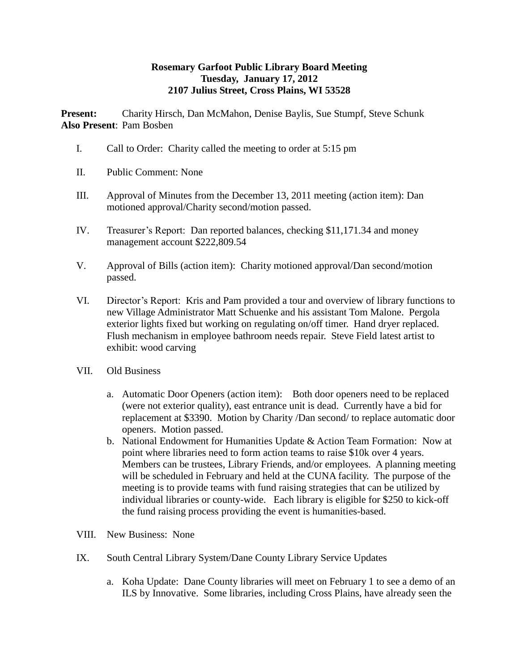## **Rosemary Garfoot Public Library Board Meeting Tuesday, January 17, 2012 2107 Julius Street, Cross Plains, WI 53528**

**Present:** Charity Hirsch, Dan McMahon, Denise Baylis, Sue Stumpf, Steve Schunk **Also Present**: Pam Bosben

- I. Call to Order: Charity called the meeting to order at 5:15 pm
- II. Public Comment: None
- III. Approval of Minutes from the December 13, 2011 meeting (action item): Dan motioned approval/Charity second/motion passed.
- IV. Treasurer's Report: Dan reported balances, checking \$11,171.34 and money management account \$222,809.54
- V. Approval of Bills (action item): Charity motioned approval/Dan second/motion passed.
- VI. Director's Report: Kris and Pam provided a tour and overview of library functions to new Village Administrator Matt Schuenke and his assistant Tom Malone. Pergola exterior lights fixed but working on regulating on/off timer. Hand dryer replaced. Flush mechanism in employee bathroom needs repair. Steve Field latest artist to exhibit: wood carving
- VII. Old Business
	- a. Automatic Door Openers (action item): Both door openers need to be replaced (were not exterior quality), east entrance unit is dead. Currently have a bid for replacement at \$3390. Motion by Charity /Dan second/ to replace automatic door openers. Motion passed.
	- b. National Endowment for Humanities Update & Action Team Formation: Now at point where libraries need to form action teams to raise \$10k over 4 years. Members can be trustees, Library Friends, and/or employees. A planning meeting will be scheduled in February and held at the CUNA facility. The purpose of the meeting is to provide teams with fund raising strategies that can be utilized by individual libraries or county-wide. Each library is eligible for \$250 to kick-off the fund raising process providing the event is humanities-based.
- VIII. New Business: None
- IX. South Central Library System/Dane County Library Service Updates
	- a. Koha Update: Dane County libraries will meet on February 1 to see a demo of an ILS by Innovative. Some libraries, including Cross Plains, have already seen the